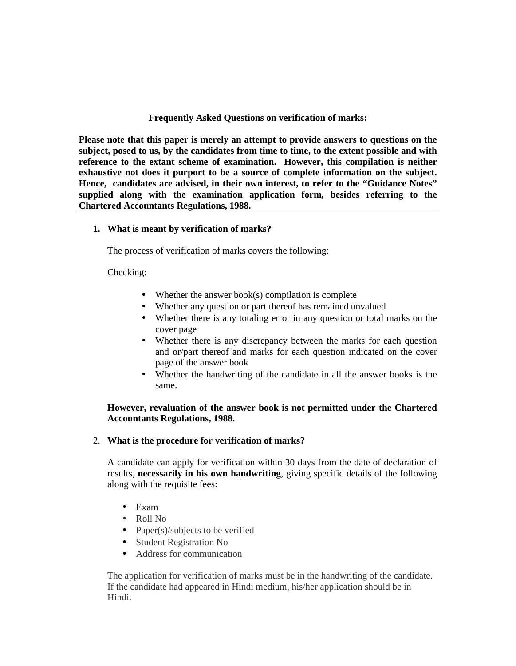## **Frequently Asked Questions on verification of marks:**

**Please note that this paper is merely an attempt to provide answers to questions on the subject, posed to us, by the candidates from time to time, to the extent possible and with reference to the extant scheme of examination. However, this compilation is neither exhaustive not does it purport to be a source of complete information on the subject. Hence, candidates are advised, in their own interest, to refer to the "Guidance Notes" supplied along with the examination application form, besides referring to the Chartered Accountants Regulations, 1988.**

#### **1. What is meant by verification of marks?**

The process of verification of marks covers the following:

Checking:

- Whether the answer book(s) compilation is complete
- Whether any question or part thereof has remained unvalued
- Whether there is any totaling error in any question or total marks on the cover page
- Whether there is any discrepancy between the marks for each question and or/part thereof and marks for each question indicated on the cover page of the answer book
- Whether the handwriting of the candidate in all the answer books is the same.

## **However, revaluation of the answer book is not permitted under the Chartered Accountants Regulations, 1988.**

2. **What is the procedure for verification of marks?**

A candidate can apply for verification within 30 days from the date of declaration of results, **necessarily in his own handwriting**, giving specific details of the following along with the requisite fees:

- Exam
- Roll No
- Paper(s)/subjects to be verified
- Student Registration No
- Address for communication

The application for verification of marks must be in the handwriting of the candidate. If the candidate had appeared in Hindi medium, his/her application should be in Hindi.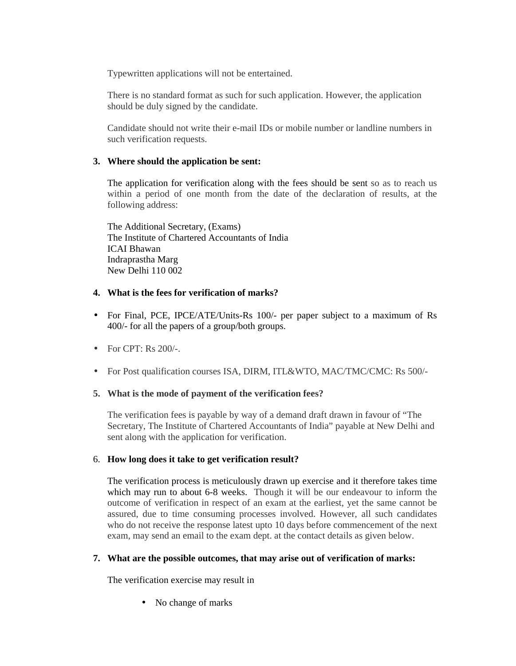Typewritten applications will not be entertained.

There is no standard format as such for such application. However, the application should be duly signed by the candidate.

Candidate should not write their e-mail IDs or mobile number or landline numbers in such verification requests.

# **3. Where should the application be sent:**

The application for verification along with the fees should be sent so as to reach us within a period of one month from the date of the declaration of results, at the following address:

The Additional Secretary, (Exams) The Institute of Chartered Accountants of India ICAI Bhawan Indraprastha Marg New Delhi 110 002

# **4. What is the fees for verification of marks?**

- For Final, PCE, IPCE/ATE/Units-Rs 100/- per paper subject to a maximum of Rs 400/- for all the papers of a group/both groups.
- For CPT: Rs 200/-.
- For Post qualification courses ISA, DIRM, ITL&WTO, MAC/TMC/CMC: Rs 500/-

#### **5. What is the mode of payment of the verification fees?**

The verification fees is payable by way of a demand draft drawn in favour of "The Secretary, The Institute of Chartered Accountants of India" payable at New Delhi and sent along with the application for verification.

#### 6. **How long does it take to get verification result?**

The verification process is meticulously drawn up exercise and it therefore takes time which may run to about 6-8 weeks. Though it will be our endeavour to inform the outcome of verification in respect of an exam at the earliest, yet the same cannot be assured, due to time consuming processes involved. However, all such candidates who do not receive the response latest upto 10 days before commencement of the next exam, may send an email to the exam dept. at the contact details as given below.

# **7. What are the possible outcomes, that may arise out of verification of marks:**

The verification exercise may result in

• No change of marks